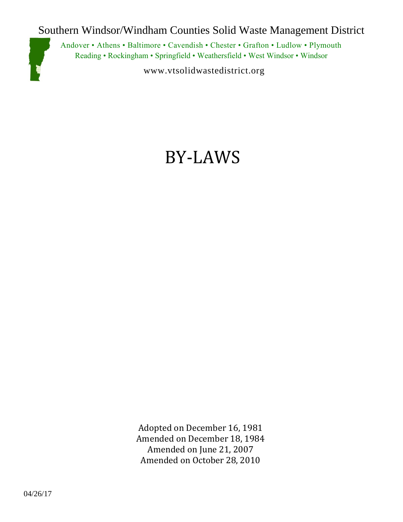Southern Windsor/Windham Counties Solid Waste Management District



Andover • Athens • Baltimore • Cavendish • Chester • Grafton • Ludlow • Plymouth Reading • Rockingham • Springfield • Weathersfield • West Windsor • Windsor

www.vtsolidwastedistrict.org

# BY-LAWS

Adopted on December 16, 1981 Amended on December 18, 1984 Amended on June 21, 2007 Amended on October 28, 2010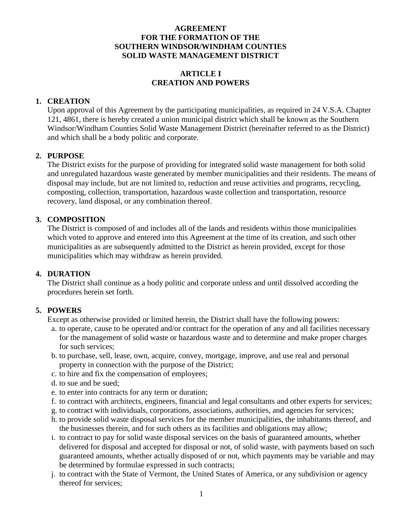#### **AGREEMENT FOR THE FORMATION OF THE SOUTHERN WINDSOR/WINDHAM COUNTIES SOLID WASTE MANAGEMENT DISTRICT**

## **ARTICLE I CREATION AND POWERS**

#### **1. CREATION**

Upon approval of this Agreement by the participating municipalities, as required in 24 V.S.A. Chapter 121, 4861, there is hereby created a union municipal district which shall be known as the Southern Windsor/Windham Counties Solid Waste Management District (hereinafter referred to as the District) and which shall be a body politic and corporate.

#### **2. PURPOSE**

The District exists for the purpose of providing for integrated solid waste management for both solid and unregulated hazardous waste generated by member municipalities and their residents. The means of disposal may include, but are not limited to, reduction and reuse activities and programs, recycling, composting, collection, transportation, hazardous waste collection and transportation, resource recovery, land disposal, or any combination thereof.

#### **3. COMPOSITION**

The District is composed of and includes all of the lands and residents within those municipalities which voted to approve and entered into this Agreement at the time of its creation, and such other municipalities as are subsequently admitted to the District as herein provided, except for those municipalities which may withdraw as herein provided.

#### **4. DURATION**

The District shall continue as a body politic and corporate unless and until dissolved according the procedures herein set forth.

## **5. POWERS**

Except as otherwise provided or limited herein, the District shall have the following powers:

- a. to operate, cause to be operated and/or contract for the operation of any and all facilities necessary for the management of solid waste or hazardous waste and to determine and make proper charges for such services;
- b. to purchase, sell, lease, own, acquire, convey, mortgage, improve, and use real and personal property in connection with the purpose of the District;
- c. to hire and fix the compensation of employees;
- d. to sue and be sued;
- e. to enter into contracts for any term or duration;
- f. to contract with architects, engineers, financial and legal consultants and other experts for services;
- g. to contract with individuals, corporations, associations, authorities, and agencies for services;
- h. to provide solid waste disposal services for the member municipalities, the inhabitants thereof, and the businesses therein, and for such others as its facilities and obligations may allow;
- i. to contract to pay for solid waste disposal services on the basis of guaranteed amounts, whether delivered for disposal and accepted for disposal or not, of solid waste, with payments based on such guaranteed amounts, whether actually disposed of or not, which payments may be variable and may be determined by formulae expressed in such contracts;
- j. to contract with the State of Vermont, the United States of America, or any subdivision or agency thereof for services;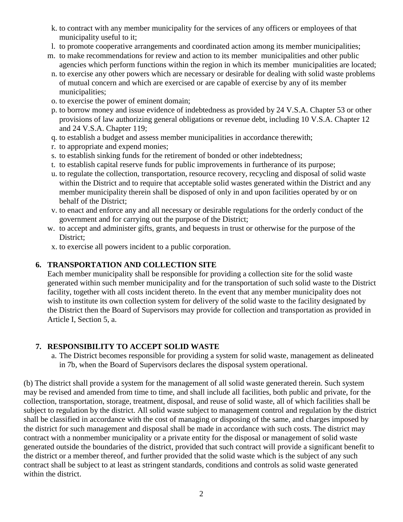- k. to contract with any member municipality for the services of any officers or employees of that municipality useful to it;
- l. to promote cooperative arrangements and coordinated action among its member municipalities;
- m. to make recommendations for review and action to its member municipalities and other public agencies which perform functions within the region in which its member municipalities are located;
- n. to exercise any other powers which are necessary or desirable for dealing with solid waste problems of mutual concern and which are exercised or are capable of exercise by any of its member municipalities;
- o. to exercise the power of eminent domain;
- p. to borrow money and issue evidence of indebtedness as provided by 24 V.S.A. Chapter 53 or other provisions of law authorizing general obligations or revenue debt, including 10 V.S.A. Chapter 12 and 24 V.S.A. Chapter 119;
- q. to establish a budget and assess member municipalities in accordance therewith;
- r. to appropriate and expend monies;
- s. to establish sinking funds for the retirement of bonded or other indebtedness;
- t. to establish capital reserve funds for public improvements in furtherance of its purpose;
- u. to regulate the collection, transportation, resource recovery, recycling and disposal of solid waste within the District and to require that acceptable solid wastes generated within the District and any member municipality therein shall be disposed of only in and upon facilities operated by or on behalf of the District;
- v. to enact and enforce any and all necessary or desirable regulations for the orderly conduct of the government and for carrying out the purpose of the District;
- w. to accept and administer gifts, grants, and bequests in trust or otherwise for the purpose of the District;
- x. to exercise all powers incident to a public corporation.

## **6. TRANSPORTATION AND COLLECTION SITE**

Each member municipality shall be responsible for providing a collection site for the solid waste generated within such member municipality and for the transportation of such solid waste to the District facility, together with all costs incident thereto. In the event that any member municipality does not wish to institute its own collection system for delivery of the solid waste to the facility designated by the District then the Board of Supervisors may provide for collection and transportation as provided in Article I, Section 5, a.

## **7. RESPONSIBILITY TO ACCEPT SOLID WASTE**

a. The District becomes responsible for providing a system for solid waste, management as delineated in 7b, when the Board of Supervisors declares the disposal system operational.

(b) The district shall provide a system for the management of all solid waste generated therein. Such system may be revised and amended from time to time, and shall include all facilities, both public and private, for the collection, transportation, storage, treatment, disposal, and reuse of solid waste, all of which facilities shall be subject to regulation by the district. All solid waste subject to management control and regulation by the district shall be classified in accordance with the cost of managing or disposing of the same, and charges imposed by the district for such management and disposal shall be made in accordance with such costs. The district may contract with a nonmember municipality or a private entity for the disposal or management of solid waste generated outside the boundaries of the district, provided that such contract will provide a significant benefit to the district or a member thereof, and further provided that the solid waste which is the subject of any such contract shall be subject to at least as stringent standards, conditions and controls as solid waste generated within the district.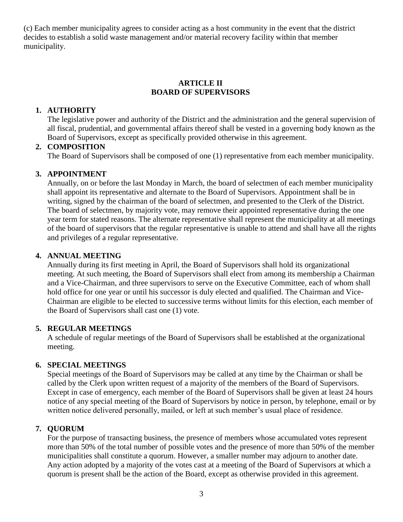(c) Each member municipality agrees to consider acting as a host community in the event that the district decides to establish a solid waste management and/or material recovery facility within that member municipality.

## **ARTICLE II BOARD OF SUPERVISORS**

## **1. AUTHORITY**

The legislative power and authority of the District and the administration and the general supervision of all fiscal, prudential, and governmental affairs thereof shall be vested in a governing body known as the Board of Supervisors, except as specifically provided otherwise in this agreement.

# **2. COMPOSITION**

The Board of Supervisors shall be composed of one (1) representative from each member municipality.

# **3. APPOINTMENT**

Annually, on or before the last Monday in March, the board of selectmen of each member municipality shall appoint its representative and alternate to the Board of Supervisors. Appointment shall be in writing, signed by the chairman of the board of selectmen, and presented to the Clerk of the District. The board of selectmen, by majority vote, may remove their appointed representative during the one year term for stated reasons. The alternate representative shall represent the municipality at all meetings of the board of supervisors that the regular representative is unable to attend and shall have all the rights and privileges of a regular representative.

# **4. ANNUAL MEETING**

Annually during its first meeting in April, the Board of Supervisors shall hold its organizational meeting. At such meeting, the Board of Supervisors shall elect from among its membership a Chairman and a Vice-Chairman, and three supervisors to serve on the Executive Committee, each of whom shall hold office for one year or until his successor is duly elected and qualified. The Chairman and Vice-Chairman are eligible to be elected to successive terms without limits for this election, each member of the Board of Supervisors shall cast one (1) vote.

# **5. REGULAR MEETINGS**

A schedule of regular meetings of the Board of Supervisors shall be established at the organizational meeting.

# **6. SPECIAL MEETINGS**

Special meetings of the Board of Supervisors may be called at any time by the Chairman or shall be called by the Clerk upon written request of a majority of the members of the Board of Supervisors. Except in case of emergency, each member of the Board of Supervisors shall be given at least 24 hours notice of any special meeting of the Board of Supervisors by notice in person, by telephone, email or by written notice delivered personally, mailed, or left at such member's usual place of residence.

## **7. QUORUM**

For the purpose of transacting business, the presence of members whose accumulated votes represent more than 50% of the total number of possible votes and the presence of more than 50% of the member municipalities shall constitute a quorum. However, a smaller number may adjourn to another date. Any action adopted by a majority of the votes cast at a meeting of the Board of Supervisors at which a quorum is present shall be the action of the Board, except as otherwise provided in this agreement.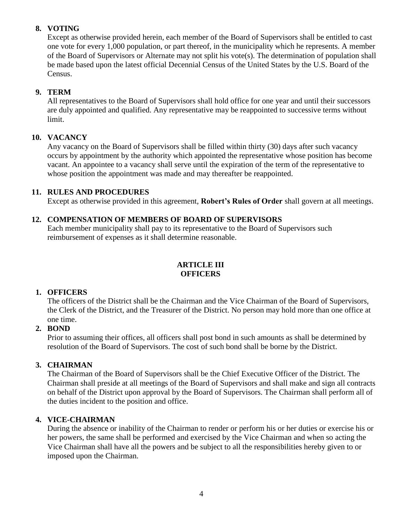# **8. VOTING**

Except as otherwise provided herein, each member of the Board of Supervisors shall be entitled to cast one vote for every 1,000 population, or part thereof, in the municipality which he represents. A member of the Board of Supervisors or Alternate may not split his vote(s). The determination of population shall be made based upon the latest official Decennial Census of the United States by the U.S. Board of the Census.

# **9. TERM**

All representatives to the Board of Supervisors shall hold office for one year and until their successors are duly appointed and qualified. Any representative may be reappointed to successive terms without limit.

# **10. VACANCY**

Any vacancy on the Board of Supervisors shall be filled within thirty (30) days after such vacancy occurs by appointment by the authority which appointed the representative whose position has become vacant. An appointee to a vacancy shall serve until the expiration of the term of the representative to whose position the appointment was made and may thereafter be reappointed.

# **11. RULES AND PROCEDURES**

Except as otherwise provided in this agreement, **Robert's Rules of Order** shall govern at all meetings.

# **12. COMPENSATION OF MEMBERS OF BOARD OF SUPERVISORS**

Each member municipality shall pay to its representative to the Board of Supervisors such reimbursement of expenses as it shall determine reasonable.

# **ARTICLE III OFFICERS**

# **1. OFFICERS**

The officers of the District shall be the Chairman and the Vice Chairman of the Board of Supervisors, the Clerk of the District, and the Treasurer of the District. No person may hold more than one office at one time.

## **2. BOND**

Prior to assuming their offices, all officers shall post bond in such amounts as shall be determined by resolution of the Board of Supervisors. The cost of such bond shall be borne by the District.

## **3. CHAIRMAN**

The Chairman of the Board of Supervisors shall be the Chief Executive Officer of the District. The Chairman shall preside at all meetings of the Board of Supervisors and shall make and sign all contracts on behalf of the District upon approval by the Board of Supervisors. The Chairman shall perform all of the duties incident to the position and office.

## **4. VICE-CHAIRMAN**

During the absence or inability of the Chairman to render or perform his or her duties or exercise his or her powers, the same shall be performed and exercised by the Vice Chairman and when so acting the Vice Chairman shall have all the powers and be subject to all the responsibilities hereby given to or imposed upon the Chairman.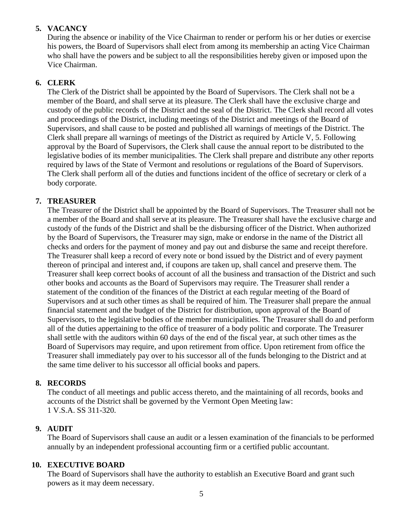## **5. VACANCY**

During the absence or inability of the Vice Chairman to render or perform his or her duties or exercise his powers, the Board of Supervisors shall elect from among its membership an acting Vice Chairman who shall have the powers and be subject to all the responsibilities hereby given or imposed upon the Vice Chairman.

## **6. CLERK**

The Clerk of the District shall be appointed by the Board of Supervisors. The Clerk shall not be a member of the Board, and shall serve at its pleasure. The Clerk shall have the exclusive charge and custody of the public records of the District and the seal of the District. The Clerk shall record all votes and proceedings of the District, including meetings of the District and meetings of the Board of Supervisors, and shall cause to be posted and published all warnings of meetings of the District. The Clerk shall prepare all warnings of meetings of the District as required by Article V, 5. Following approval by the Board of Supervisors, the Clerk shall cause the annual report to be distributed to the legislative bodies of its member municipalities. The Clerk shall prepare and distribute any other reports required by laws of the State of Vermont and resolutions or regulations of the Board of Supervisors. The Clerk shall perform all of the duties and functions incident of the office of secretary or clerk of a body corporate.

## **7. TREASURER**

The Treasurer of the District shall be appointed by the Board of Supervisors. The Treasurer shall not be a member of the Board and shall serve at its pleasure. The Treasurer shall have the exclusive charge and custody of the funds of the District and shall be the disbursing officer of the District. When authorized by the Board of Supervisors, the Treasurer may sign, make or endorse in the name of the District all checks and orders for the payment of money and pay out and disburse the same and receipt therefore. The Treasurer shall keep a record of every note or bond issued by the District and of every payment thereon of principal and interest and, if coupons are taken up, shall cancel and preserve them. The Treasurer shall keep correct books of account of all the business and transaction of the District and such other books and accounts as the Board of Supervisors may require. The Treasurer shall render a statement of the condition of the finances of the District at each regular meeting of the Board of Supervisors and at such other times as shall be required of him. The Treasurer shall prepare the annual financial statement and the budget of the District for distribution, upon approval of the Board of Supervisors, to the legislative bodies of the member municipalities. The Treasurer shall do and perform all of the duties appertaining to the office of treasurer of a body politic and corporate. The Treasurer shall settle with the auditors within 60 days of the end of the fiscal year, at such other times as the Board of Supervisors may require, and upon retirement from office. Upon retirement from office the Treasurer shall immediately pay over to his successor all of the funds belonging to the District and at the same time deliver to his successor all official books and papers.

## **8. RECORDS**

The conduct of all meetings and public access thereto, and the maintaining of all records, books and accounts of the District shall be governed by the Vermont Open Meeting law: 1 V.S.A. SS 311-320.

## **9. AUDIT**

The Board of Supervisors shall cause an audit or a lessen examination of the financials to be performed annually by an independent professional accounting firm or a certified public accountant.

## **10. EXECUTIVE BOARD**

The Board of Supervisors shall have the authority to establish an Executive Board and grant such powers as it may deem necessary.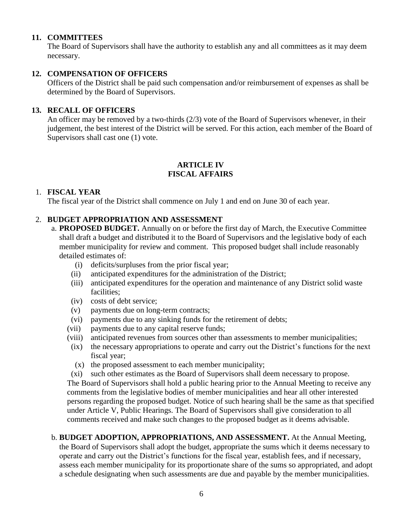## **11. COMMITTEES**

The Board of Supervisors shall have the authority to establish any and all committees as it may deem necessary.

#### **12. COMPENSATION OF OFFICERS**

Officers of the District shall be paid such compensation and/or reimbursement of expenses as shall be determined by the Board of Supervisors.

#### **13. RECALL OF OFFICERS**

An officer may be removed by a two-thirds (2/3) vote of the Board of Supervisors whenever, in their judgement, the best interest of the District will be served. For this action, each member of the Board of Supervisors shall cast one (1) vote.

#### **ARTICLE IV FISCAL AFFAIRS**

#### 1. **FISCAL YEAR**

The fiscal year of the District shall commence on July 1 and end on June 30 of each year.

## 2. **BUDGET APPROPRIATION AND ASSESSMENT**

- a. **PROPOSED BUDGET.** Annually on or before the first day of March, the Executive Committee shall draft a budget and distributed it to the Board of Supervisors and the legislative body of each member municipality for review and comment. This proposed budget shall include reasonably detailed estimates of:
	- (i) deficits/surpluses from the prior fiscal year;
	- (ii) anticipated expenditures for the administration of the District;
	- (iii) anticipated expenditures for the operation and maintenance of any District solid waste facilities;
	- (iv) costs of debt service;
	- (v) payments due on long-term contracts;
	- (vi) payments due to any sinking funds for the retirement of debts;
	- (vii) payments due to any capital reserve funds;
	- (viii) anticipated revenues from sources other than assessments to member municipalities;
	- (ix) the necessary appropriations to operate and carry out the District's functions for the next fiscal year;
		- (x) the proposed assessment to each member municipality;
	- (xi) such other estimates as the Board of Supervisors shall deem necessary to propose.

The Board of Supervisors shall hold a public hearing prior to the Annual Meeting to receive any comments from the legislative bodies of member municipalities and hear all other interested persons regarding the proposed budget. Notice of such hearing shall be the same as that specified under Article V, Public Hearings. The Board of Supervisors shall give consideration to all comments received and make such changes to the proposed budget as it deems advisable.

b. **BUDGET ADOPTION, APPROPRIATIONS, AND ASSESSMENT.** At the Annual Meeting, the Board of Supervisors shall adopt the budget, appropriate the sums which it deems necessary to operate and carry out the District's functions for the fiscal year, establish fees, and if necessary, assess each member municipality for its proportionate share of the sums so appropriated, and adopt a schedule designating when such assessments are due and payable by the member municipalities.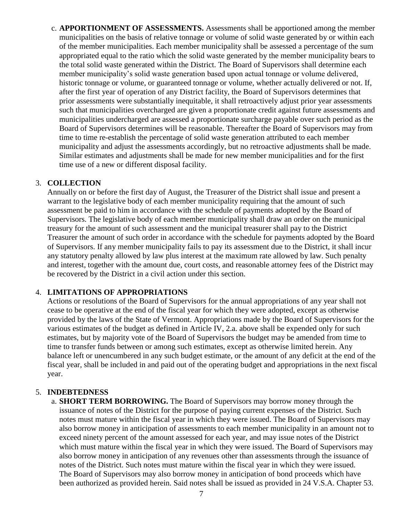c. **APPORTIONMENT OF ASSESSMENTS.** Assessments shall be apportioned among the member municipalities on the basis of relative tonnage or volume of solid waste generated by or within each of the member municipalities. Each member municipality shall be assessed a percentage of the sum appropriated equal to the ratio which the solid waste generated by the member municipality bears to the total solid waste generated within the District. The Board of Supervisors shall determine each member municipality's solid waste generation based upon actual tonnage or volume delivered, historic tonnage or volume, or guaranteed tonnage or volume, whether actually delivered or not. If, after the first year of operation of any District facility, the Board of Supervisors determines that prior assessments were substantially inequitable, it shall retroactively adjust prior year assessments such that municipalities overcharged are given a proportionate credit against future assessments and municipalities undercharged are assessed a proportionate surcharge payable over such period as the Board of Supervisors determines will be reasonable. Thereafter the Board of Supervisors may from time to time re-establish the percentage of solid waste generation attributed to each member municipality and adjust the assessments accordingly, but no retroactive adjustments shall be made. Similar estimates and adjustments shall be made for new member municipalities and for the first time use of a new or different disposal facility.

## 3. **COLLECTION**

Annually on or before the first day of August, the Treasurer of the District shall issue and present a warrant to the legislative body of each member municipality requiring that the amount of such assessment be paid to him in accordance with the schedule of payments adopted by the Board of Supervisors. The legislative body of each member municipality shall draw an order on the municipal treasury for the amount of such assessment and the municipal treasurer shall pay to the District Treasurer the amount of such order in accordance with the schedule for payments adopted by the Board of Supervisors. If any member municipality fails to pay its assessment due to the District, it shall incur any statutory penalty allowed by law plus interest at the maximum rate allowed by law. Such penalty and interest, together with the amount due, court costs, and reasonable attorney fees of the District may be recovered by the District in a civil action under this section.

## 4. **LIMITATIONS OF APPROPRIATIONS**

Actions or resolutions of the Board of Supervisors for the annual appropriations of any year shall not cease to be operative at the end of the fiscal year for which they were adopted, except as otherwise provided by the laws of the State of Vermont. Appropriations made by the Board of Supervisors for the various estimates of the budget as defined in Article IV, 2.a. above shall be expended only for such estimates, but by majority vote of the Board of Supervisors the budget may be amended from time to time to transfer funds between or among such estimates, except as otherwise limited herein. Any balance left or unencumbered in any such budget estimate, or the amount of any deficit at the end of the fiscal year, shall be included in and paid out of the operating budget and appropriations in the next fiscal year.

## 5. **INDEBTEDNESS**

a. **SHORT TERM BORROWING.** The Board of Supervisors may borrow money through the issuance of notes of the District for the purpose of paying current expenses of the District. Such notes must mature within the fiscal year in which they were issued. The Board of Supervisors may also borrow money in anticipation of assessments to each member municipality in an amount not to exceed ninety percent of the amount assessed for each year, and may issue notes of the District which must mature within the fiscal year in which they were issued. The Board of Supervisors may also borrow money in anticipation of any revenues other than assessments through the issuance of notes of the District. Such notes must mature within the fiscal year in which they were issued. The Board of Supervisors may also borrow money in anticipation of bond proceeds which have been authorized as provided herein. Said notes shall be issued as provided in 24 V.S.A. Chapter 53.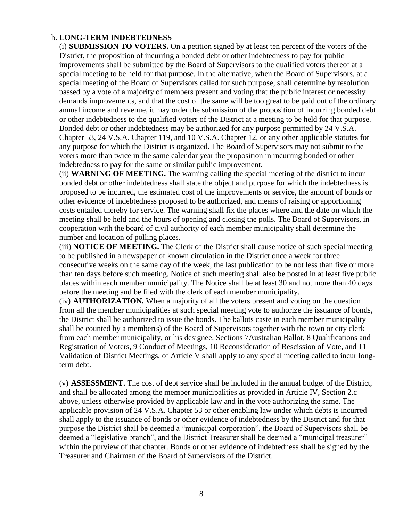#### b. **LONG-TERM INDEBTEDNESS**

(i) **SUBMISSION TO VOTERS.** On a petition signed by at least ten percent of the voters of the District, the proposition of incurring a bonded debt or other indebtedness to pay for public improvements shall be submitted by the Board of Supervisors to the qualified voters thereof at a special meeting to be held for that purpose. In the alternative, when the Board of Supervisors, at a special meeting of the Board of Supervisors called for such purpose, shall determine by resolution passed by a vote of a majority of members present and voting that the public interest or necessity demands improvements, and that the cost of the same will be too great to be paid out of the ordinary annual income and revenue, it may order the submission of the proposition of incurring bonded debt or other indebtedness to the qualified voters of the District at a meeting to be held for that purpose. Bonded debt or other indebtedness may be authorized for any purpose permitted by 24 V.S.A. Chapter 53, 24 V.S.A. Chapter 119, and 10 V.S.A. Chapter 12, or any other applicable statutes for any purpose for which the District is organized. The Board of Supervisors may not submit to the voters more than twice in the same calendar year the proposition in incurring bonded or other indebtedness to pay for the same or similar public improvement.

(ii) **WARNING OF MEETING.** The warning calling the special meeting of the district to incur bonded debt or other indebtedness shall state the object and purpose for which the indebtedness is proposed to be incurred, the estimated cost of the improvements or service, the amount of bonds or other evidence of indebtedness proposed to be authorized, and means of raising or apportioning costs entailed thereby for service. The warning shall fix the places where and the date on which the meeting shall be held and the hours of opening and closing the polls. The Board of Supervisors, in cooperation with the board of civil authority of each member municipality shall determine the number and location of polling places.

(iii) **NOTICE OF MEETING.** The Clerk of the District shall cause notice of such special meeting to be published in a newspaper of known circulation in the District once a week for three consecutive weeks on the same day of the week, the last publication to be not less than five or more than ten days before such meeting. Notice of such meeting shall also be posted in at least five public places within each member municipality. The Notice shall be at least 30 and not more than 40 days before the meeting and be filed with the clerk of each member municipality.

(iv) **AUTHORIZATION.** When a majority of all the voters present and voting on the question from all the member municipalities at such special meeting vote to authorize the issuance of bonds, the District shall be authorized to issue the bonds. The ballots caste in each member municipality shall be counted by a member(s) of the Board of Supervisors together with the town or city clerk from each member municipality, or his designee. Sections 7Australian Ballot, 8 Qualifications and Registration of Voters, 9 Conduct of Meetings, 10 Reconsideration of Rescission of Vote, and 11 Validation of District Meetings, of Article V shall apply to any special meeting called to incur longterm debt.

(v) **ASSESSMENT.** The cost of debt service shall be included in the annual budget of the District, and shall be allocated among the member municipalities as provided in Article IV, Section 2.c above, unless otherwise provided by applicable law and in the vote authorizing the same. The applicable provision of 24 V.S.A. Chapter 53 or other enabling law under which debts is incurred shall apply to the issuance of bonds or other evidence of indebtedness by the District and for that purpose the District shall be deemed a "municipal corporation", the Board of Supervisors shall be deemed a "legislative branch", and the District Treasurer shall be deemed a "municipal treasurer" within the purview of that chapter. Bonds or other evidence of indebtedness shall be signed by the Treasurer and Chairman of the Board of Supervisors of the District.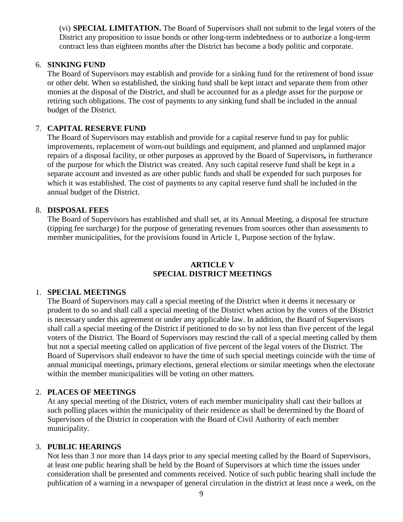(vi) **SPECIAL LIMITATION.** The Board of Supervisors shall not submit to the legal voters of the District any proposition to issue bonds or other long-term indebtedness or to authorize a long-term contract less than eighteen months after the District has become a body politic and corporate.

#### 6. **SINKING FUND**

The Board of Supervisors may establish and provide for a sinking fund for the retirement of bond issue or other debt. When so established, the sinking fund shall be kept intact and separate them from other monies at the disposal of the District, and shall be accounted for as a pledge asset for the purpose or retiring such obligations. The cost of payments to any sinking fund shall be included in the annual budget of the District.

## 7. **CAPITAL RESERVE FUND**

The Board of Supervisors may establish and provide for a capital reserve fund to pay for public improvements, replacement of worn-out buildings and equipment, and planned and unplanned major repairs of a disposal facility, or other purposes as approved by the Board of Supervisors*,* in furtherance of the purpose for which the District was created. Any such capital reserve fund shall be kept in a separate account and invested as are other public funds and shall be expended for such purposes for which it was established. The cost of payments to any capital reserve fund shall be included in the annual budget of the District.

## 8. **DISPOSAL FEES**

The Board of Supervisors has established and shall set, at its Annual Meeting, a disposal fee structure (tipping fee surcharge) for the purpose of generating revenues from sources other than assessments to member municipalities, for the provisions found in Article 1, Purpose section of the bylaw.

# **ARTICLE V SPECIAL DISTRICT MEETINGS**

#### 1. **SPECIAL MEETINGS**

The Board of Supervisors may call a special meeting of the District when it deems it necessary or prudent to do so and shall call a special meeting of the District when action by the voters of the District is necessary under this agreement or under any applicable law. In addition, the Board of Supervisors shall call a special meeting of the District if petitioned to do so by not less than five percent of the legal voters of the District. The Board of Supervisors may rescind the call of a special meeting called by them but not a special meeting called on application of five percent of the legal voters of the District. The Board of Supervisors shall endeavor to have the time of such special meetings coincide with the time of annual municipal meetings, primary elections, general elections or similar meetings when the electorate within the member municipalities will be voting on other matters.

## 2. **PLACES OF MEETINGS**

At any special meeting of the District, voters of each member municipality shall cast their ballots at such polling places within the municipality of their residence as shall be determined by the Board of Supervisors of the District in cooperation with the Board of Civil Authority of each member municipality.

#### 3. **PUBLIC HEARINGS**

Not less than 3 nor more than 14 days prior to any special meeting called by the Board of Supervisors, at least one public hearing shall be held by the Board of Supervisors at which time the issues under consideration shall be presented and comments received. Notice of such public hearing shall include the publication of a warning in a newspaper of general circulation in the district at least once a week, on the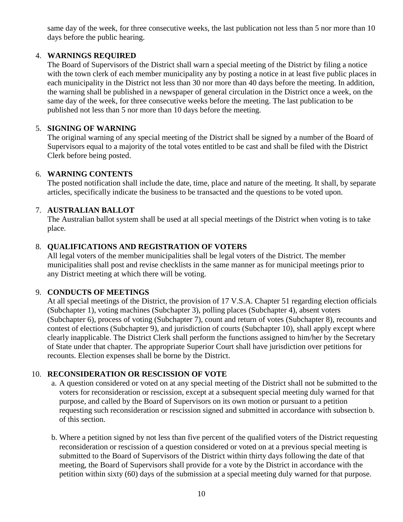same day of the week, for three consecutive weeks, the last publication not less than 5 nor more than 10 days before the public hearing.

# 4. **WARNINGS REQUIRED**

The Board of Supervisors of the District shall warn a special meeting of the District by filing a notice with the town clerk of each member municipality any by posting a notice in at least five public places in each municipality in the District not less than 30 nor more than 40 days before the meeting. In addition, the warning shall be published in a newspaper of general circulation in the District once a week, on the same day of the week, for three consecutive weeks before the meeting. The last publication to be published not less than 5 nor more than 10 days before the meeting.

# 5. **SIGNING OF WARNING**

The original warning of any special meeting of the District shall be signed by a number of the Board of Supervisors equal to a majority of the total votes entitled to be cast and shall be filed with the District Clerk before being posted.

# 6. **WARNING CONTENTS**

The posted notification shall include the date, time, place and nature of the meeting. It shall, by separate articles, specifically indicate the business to be transacted and the questions to be voted upon.

# 7. **AUSTRALIAN BALLOT**

The Australian ballot system shall be used at all special meetings of the District when voting is to take place.

# 8. **QUALIFICATIONS AND REGISTRATION OF VOTERS**

All legal voters of the member municipalities shall be legal voters of the District. The member municipalities shall post and revise checklists in the same manner as for municipal meetings prior to any District meeting at which there will be voting.

# 9. **CONDUCTS OF MEETINGS**

At all special meetings of the District, the provision of 17 V.S.A. Chapter 51 regarding election officials (Subchapter 1), voting machines (Subchapter 3), polling places (Subchapter 4), absent voters (Subchapter 6), process of voting (Subchapter 7), count and return of votes (Subchapter 8), recounts and contest of elections (Subchapter 9), and jurisdiction of courts (Subchapter 10), shall apply except where clearly inapplicable. The District Clerk shall perform the functions assigned to him/her by the Secretary of State under that chapter. The appropriate Superior Court shall have jurisdiction over petitions for recounts. Election expenses shall be borne by the District.

## 10. **RECONSIDERATION OR RESCISSION OF VOTE**

- a. A question considered or voted on at any special meeting of the District shall not be submitted to the voters for reconsideration or rescission, except at a subsequent special meeting duly warned for that purpose, and called by the Board of Supervisors on its own motion or pursuant to a petition requesting such reconsideration or rescission signed and submitted in accordance with subsection b. of this section.
- b. Where a petition signed by not less than five percent of the qualified voters of the District requesting reconsideration or rescission of a question considered or voted on at a previous special meeting is submitted to the Board of Supervisors of the District within thirty days following the date of that meeting, the Board of Supervisors shall provide for a vote by the District in accordance with the petition within sixty (60) days of the submission at a special meeting duly warned for that purpose.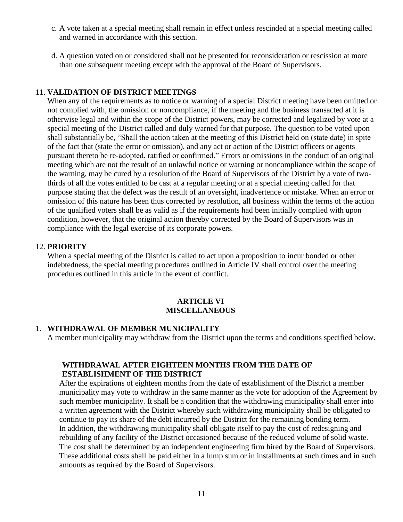- c. A vote taken at a special meeting shall remain in effect unless rescinded at a special meeting called and warned in accordance with this section.
- d. A question voted on or considered shall not be presented for reconsideration or rescission at more than one subsequent meeting except with the approval of the Board of Supervisors.

#### 11. **VALIDATION OF DISTRICT MEETINGS**

When any of the requirements as to notice or warning of a special District meeting have been omitted or not complied with, the omission or noncompliance, if the meeting and the business transacted at it is otherwise legal and within the scope of the District powers, may be corrected and legalized by vote at a special meeting of the District called and duly warned for that purpose. The question to be voted upon shall substantially be, "Shall the action taken at the meeting of this District held on (state date) in spite of the fact that (state the error or omission), and any act or action of the District officers or agents pursuant thereto be re-adopted, ratified or confirmed." Errors or omissions in the conduct of an original meeting which are not the result of an unlawful notice or warning or noncompliance within the scope of the warning, may be cured by a resolution of the Board of Supervisors of the District by a vote of twothirds of all the votes entitled to be cast at a regular meeting or at a special meeting called for that purpose stating that the defect was the result of an oversight, inadvertence or mistake. When an error or omission of this nature has been thus corrected by resolution, all business within the terms of the action of the qualified voters shall be as valid as if the requirements had been initially complied with upon condition, however, that the original action thereby corrected by the Board of Supervisors was in compliance with the legal exercise of its corporate powers.

#### 12. **PRIORITY**

When a special meeting of the District is called to act upon a proposition to incur bonded or other indebtedness, the special meeting procedures outlined in Article IV shall control over the meeting procedures outlined in this article in the event of conflict.

#### **ARTICLE VI MISCELLANEOUS**

#### 1. **WITHDRAWAL OF MEMBER MUNICIPALITY**

A member municipality may withdraw from the District upon the terms and conditions specified below.

## **WITHDRAWAL AFTER EIGHTEEN MONTHS FROM THE DATE OF ESTABLISHMENT OF THE DISTRICT**

After the expirations of eighteen months from the date of establishment of the District a member municipality may vote to withdraw in the same manner as the vote for adoption of the Agreement by such member municipality. It shall be a condition that the withdrawing municipality shall enter into a written agreement with the District whereby such withdrawing municipality shall be obligated to continue to pay its share of the debt incurred by the District for the remaining bonding term. In addition, the withdrawing municipality shall obligate itself to pay the cost of redesigning and rebuilding of any facility of the District occasioned because of the reduced volume of solid waste. The cost shall be determined by an independent engineering firm hired by the Board of Supervisors. These additional costs shall be paid either in a lump sum or in installments at such times and in such amounts as required by the Board of Supervisors.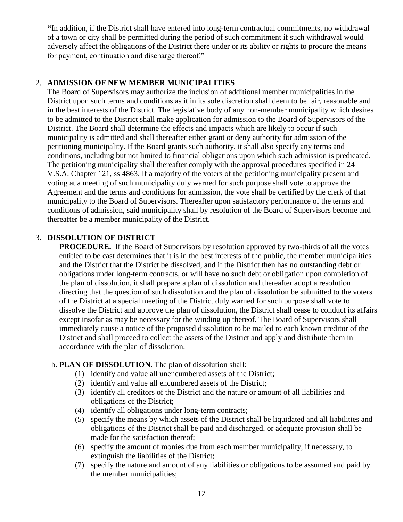**"**In addition, if the District shall have entered into long-term contractual commitments, no withdrawal of a town or city shall be permitted during the period of such commitment if such withdrawal would adversely affect the obligations of the District there under or its ability or rights to procure the means for payment, continuation and discharge thereof."

## 2. **ADMISSION OF NEW MEMBER MUNICIPALITIES**

The Board of Supervisors may authorize the inclusion of additional member municipalities in the District upon such terms and conditions as it in its sole discretion shall deem to be fair, reasonable and in the best interests of the District. The legislative body of any non-member municipality which desires to be admitted to the District shall make application for admission to the Board of Supervisors of the District. The Board shall determine the effects and impacts which are likely to occur if such municipality is admitted and shall thereafter either grant or deny authority for admission of the petitioning municipality. If the Board grants such authority, it shall also specify any terms and conditions, including but not limited to financial obligations upon which such admission is predicated. The petitioning municipality shall thereafter comply with the approval procedures specified in 24 V.S.A. Chapter 121, ss 4863. If a majority of the voters of the petitioning municipality present and voting at a meeting of such municipality duly warned for such purpose shall vote to approve the Agreement and the terms and conditions for admission, the vote shall be certified by the clerk of that municipality to the Board of Supervisors. Thereafter upon satisfactory performance of the terms and conditions of admission, said municipality shall by resolution of the Board of Supervisors become and thereafter be a member municipality of the District.

# 3. **DISSOLUTION OF DISTRICT**

**PROCEDURE.** If the Board of Supervisors by resolution approved by two-thirds of all the votes entitled to be cast determines that it is in the best interests of the public, the member municipalities and the District that the District be dissolved, and if the District then has no outstanding debt or obligations under long-term contracts, or will have no such debt or obligation upon completion of the plan of dissolution, it shall prepare a plan of dissolution and thereafter adopt a resolution directing that the question of such dissolution and the plan of dissolution be submitted to the voters of the District at a special meeting of the District duly warned for such purpose shall vote to dissolve the District and approve the plan of dissolution, the District shall cease to conduct its affairs except insofar as may be necessary for the winding up thereof. The Board of Supervisors shall immediately cause a notice of the proposed dissolution to be mailed to each known creditor of the District and shall proceed to collect the assets of the District and apply and distribute them in accordance with the plan of dissolution.

## b. **PLAN OF DISSOLUTION.** The plan of dissolution shall:

- (1) identify and value all unencumbered assets of the District;
- (2) identify and value all encumbered assets of the District;
- (3) identify all creditors of the District and the nature or amount of all liabilities and obligations of the District;
- (4) identify all obligations under long-term contracts;
- (5) specify the means by which assets of the District shall be liquidated and all liabilities and obligations of the District shall be paid and discharged, or adequate provision shall be made for the satisfaction thereof;
- (6) specify the amount of monies due from each member municipality, if necessary, to extinguish the liabilities of the District;
- (7) specify the nature and amount of any liabilities or obligations to be assumed and paid by the member municipalities;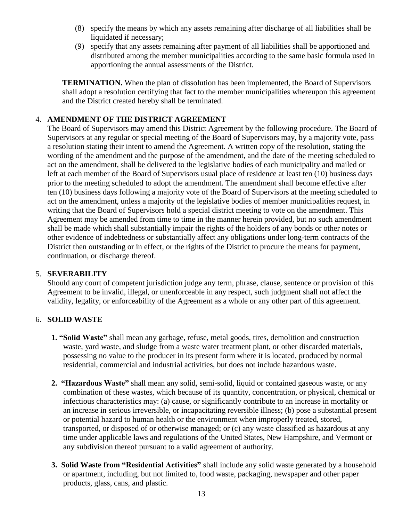- (8) specify the means by which any assets remaining after discharge of all liabilities shall be liquidated if necessary:
- (9) specify that any assets remaining after payment of all liabilities shall be apportioned and distributed among the member municipalities according to the same basic formula used in apportioning the annual assessments of the District.

**TERMINATION.** When the plan of dissolution has been implemented, the Board of Supervisors shall adopt a resolution certifying that fact to the member municipalities whereupon this agreement and the District created hereby shall be terminated.

# 4. **AMENDMENT OF THE DISTRICT AGREEMENT**

The Board of Supervisors may amend this District Agreement by the following procedure. The Board of Supervisors at any regular or special meeting of the Board of Supervisors may, by a majority vote, pass a resolution stating their intent to amend the Agreement. A written copy of the resolution, stating the wording of the amendment and the purpose of the amendment, and the date of the meeting scheduled to act on the amendment, shall be delivered to the legislative bodies of each municipality and mailed or left at each member of the Board of Supervisors usual place of residence at least ten (10) business days prior to the meeting scheduled to adopt the amendment. The amendment shall become effective after ten (10) business days following a majority vote of the Board of Supervisors at the meeting scheduled to act on the amendment, unless a majority of the legislative bodies of member municipalities request, in writing that the Board of Supervisors hold a special district meeting to vote on the amendment. This Agreement may be amended from time to time in the manner herein provided, but no such amendment shall be made which shall substantially impair the rights of the holders of any bonds or other notes or other evidence of indebtedness or substantially affect any obligations under long-term contracts of the District then outstanding or in effect, or the rights of the District to procure the means for payment, continuation, or discharge thereof.

## 5. **SEVERABILITY**

Should any court of competent jurisdiction judge any term, phrase, clause, sentence or provision of this Agreement to be invalid, illegal, or unenforceable in any respect, such judgment shall not affect the validity, legality, or enforceability of the Agreement as a whole or any other part of this agreement.

## 6. **SOLID WASTE**

- **1. "Solid Waste"** shall mean any garbage, refuse, metal goods, tires, demolition and construction waste, yard waste, and sludge from a waste water treatment plant, or other discarded materials, possessing no value to the producer in its present form where it is located, produced by normal residential, commercial and industrial activities, but does not include hazardous waste.
- **2. "Hazardous Waste"** shall mean any solid, semi-solid, liquid or contained gaseous waste, or any combination of these wastes, which because of its quantity, concentration, or physical, chemical or infectious characteristics may: (a) cause, or significantly contribute to an increase in mortality or an increase in serious irreversible, or incapacitating reversible illness; (b) pose a substantial present or potential hazard to human health or the environment when improperly treated, stored, transported, or disposed of or otherwise managed; or (c) any waste classified as hazardous at any time under applicable laws and regulations of the United States, New Hampshire, and Vermont or any subdivision thereof pursuant to a valid agreement of authority.
- **3. Solid Waste from "Residential Activities"** shall include any solid waste generated by a household or apartment, including, but not limited to, food waste, packaging, newspaper and other paper products, glass, cans, and plastic.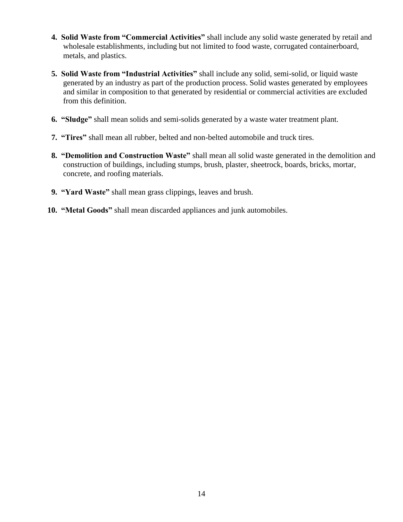- **4. Solid Waste from "Commercial Activities"** shall include any solid waste generated by retail and wholesale establishments, including but not limited to food waste, corrugated containerboard, metals, and plastics.
- **5. Solid Waste from "Industrial Activities"** shall include any solid, semi-solid, or liquid waste generated by an industry as part of the production process. Solid wastes generated by employees and similar in composition to that generated by residential or commercial activities are excluded from this definition.
- **6. "Sludge"** shall mean solids and semi-solids generated by a waste water treatment plant.
- **7. "Tires"** shall mean all rubber, belted and non-belted automobile and truck tires.
- **8. "Demolition and Construction Waste"** shall mean all solid waste generated in the demolition and construction of buildings, including stumps, brush, plaster, sheetrock, boards, bricks, mortar, concrete, and roofing materials.
- **9. "Yard Waste"** shall mean grass clippings, leaves and brush.
- **10. "Metal Goods"** shall mean discarded appliances and junk automobiles.